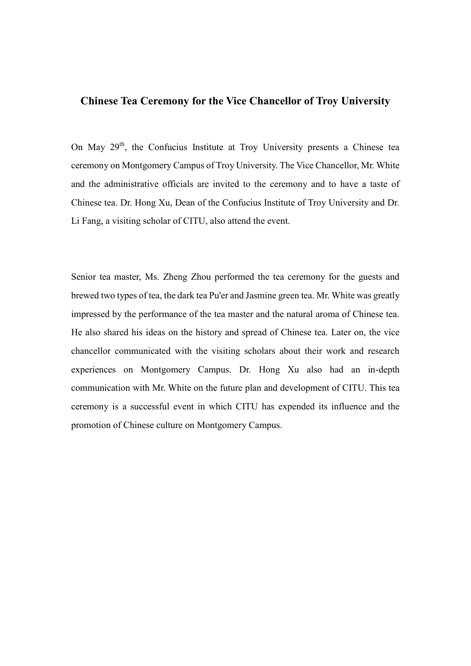## **Chinese Tea Ceremony for the Vice Chancellor of Troy University**

On May 29<sup>th</sup>, the Confucius Institute at Troy University presents a Chinese tea ceremony on Montgomery Campus of Troy University. The Vice Chancellor, Mr. White and the administrative officials are invited to the ceremony and to have a taste of Chinese tea. Dr. Hong Xu, Dean of the Confucius Institute of Troy University and Dr. Li Fang, a visiting scholar of CITU, also attend the event.

Senior tea master, Ms. Zheng Zhou performed the tea ceremony for the guests and brewed two types of tea, the dark tea Pu'er and Jasmine green tea. Mr. White was greatly impressed by the performance of the tea master and the natural aroma of Chinese tea. He also shared his ideas on the history and spread of Chinese tea. Later on, the vice chancellor communicated with the visiting scholars about their work and research experiences on Montgomery Campus. Dr. Hong Xu also had an in-depth communication with Mr. White on the future plan and development of CITU. This tea ceremony is a successful event in which CITU has expended its influence and the promotion of Chinese culture on Montgomery Campus.